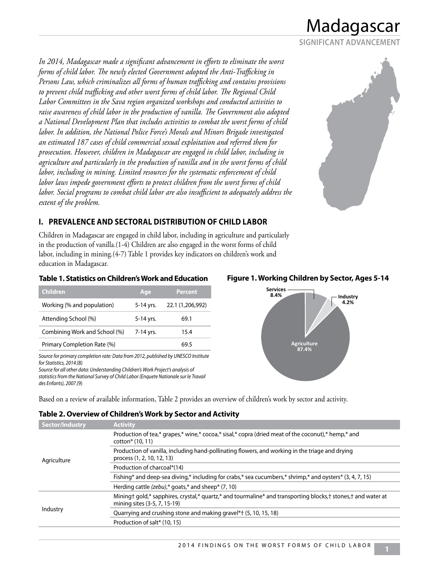**SIGNIFICANT ADVANCEMENT**

*In 2014, Madagascar made a significant advancement in efforts to eliminate the worst forms of child labor. The newly elected Government adopted the Anti-Trafficking in Persons Law, which criminalizes all forms of human trafficking and contains provisions to prevent child trafficking and other worst forms of child labor. The Regional Child Labor Committees in the Sava region organized workshops and conducted activities to raise awareness of child labor in the production of vanilla. The Government also adopted a National Development Plan that includes activities to combat the worst forms of child labor. In addition, the National Police Force's Morals and Minors Brigade investigated an estimated 187 cases of child commercial sexual exploitation and referred them for prosecution. However, children in Madagascar are engaged in child labor, including in agriculture and particularly in the production of vanilla and in the worst forms of child labor, including in mining. Limited resources for the systematic enforcement of child labor laws impede government efforts to protect children from the worst forms of child labor. Social programs to combat child labor are also insufficient to adequately address the extent of the problem.* 



### **I. PREVALENCE AND SECTORAL DISTRIBUTION OF CHILD LABOR**

Children in Madagascar are engaged in child labor, including in agriculture and particularly in the production of vanilla.(1-4) Children are also engaged in the worst forms of child labor, including in mining.(4-7) Table 1 provides key indicators on children's work and education in Madagascar.

#### **Table 1. Statistics on Children's Work and Education Figure 1. Working Children by Sector, Ages 5-14**

| <b>Children</b>               | Age       | <b>Percent</b>   |
|-------------------------------|-----------|------------------|
| Working (% and population)    | 5-14 yrs. | 22.1 (1,206,992) |
| Attending School (%)          | 5-14 yrs. | 69.1             |
| Combining Work and School (%) | 7-14 yrs. | 15.4             |
| Primary Completion Rate (%)   |           | 69 5             |

*Source for primary completion rate: Data from 2012, published by UNESCO Institute for Statistics, 2014.*(8)

*Source for all other data: Understanding Children's Work Project's analysis of statistics from the National Survey of Child Labor (Enquete Nationale sur le Travail des Enfants), 2007.*(9)



**Table 2. Overview of Children's Work by Sector and Activity** 

| Sector/Industry | <b>Activity</b>                                                                                                                              |
|-----------------|----------------------------------------------------------------------------------------------------------------------------------------------|
| Agriculture     | Production of tea,* grapes,* wine,* cocoa,* sisal,* copra (dried meat of the coconut),* hemp,* and<br>cotton <sup>*</sup> (10, 11)           |
|                 | Production of vanilla, including hand-pollinating flowers, and working in the triage and drying<br>process (1, 2, 10, 12, 13)                |
|                 | Production of charcoal*(14)                                                                                                                  |
|                 | Fishing* and deep-sea diving,* including for crabs,* sea cucumbers,* shrimp,* and oysters* (3, 4, 7, 15)                                     |
|                 | Herding cattle (zebu),* goats,* and sheep* $(7, 10)$                                                                                         |
| Industry        | Mining† gold,* sapphires, crystal,* quartz,* and tourmaline* and transporting blocks,† stones,† and water at<br>mining sites (3-5, 7, 15-19) |
|                 | Quarrying and crushing stone and making gravel*† (5, 10, 15, 18)                                                                             |
|                 | Production of salt* (10, 15)                                                                                                                 |
|                 |                                                                                                                                              |

Based on a review of available information, Table 2 provides an overview of children's work by sector and activity.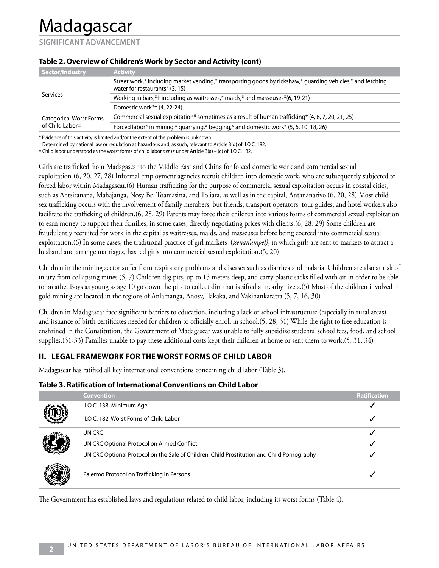**SIGNIFICANT ADVANCEMENT**

| Sector/Industry                                   | <b>Activity</b>                                                                                                                              |
|---------------------------------------------------|----------------------------------------------------------------------------------------------------------------------------------------------|
| Services                                          | Street work,* including market vending,* transporting goods by rickshaw,* guarding vehicles,* and fetching<br>water for restaurants* (3, 15) |
|                                                   | Working in bars,*† including as waitresses,* maids,* and masseuses*(6, 19-21)                                                                |
|                                                   | Domestic work*† (4, 22-24)                                                                                                                   |
| <b>Categorical Worst Forms</b><br>of Child Labor‡ | Commercial sexual exploitation* sometimes as a result of human trafficking* (4, 6, 7, 20, 21, 25)                                            |
|                                                   | Forced labor* in mining,* quarrying,* begging,* and domestic work* (5, 6, 10, 18, 26)                                                        |
|                                                   |                                                                                                                                              |

#### **Table 2. Overview of Children's Work by Sector and Activity (cont)**

\* Evidence of this activity is limited and/or the extent of the problem is unknown.

† Determined by national law or regulation as hazardous and, as such, relevant to Article 3(d) of ILO C. 182.

‡ Child labor understood as the worst forms of child labor *per se* under Article 3(a) – (c) of ILO C. 182.

Girls are trafficked from Madagascar to the Middle East and China for forced domestic work and commercial sexual exploitation.(6, 20, 27, 28) Informal employment agencies recruit children into domestic work, who are subsequently subjected to forced labor within Madagascar.(6) Human trafficking for the purpose of commercial sexual exploitation occurs in coastal cities, such as Antsiranana, Mahajanga, Nosy Be, Toamasina, and Toliara, as well as in the capital, Antananarivo.(6, 20, 28) Most child sex trafficking occurs with the involvement of family members, but friends, transport operators, tour guides, and hotel workers also facilitate the trafficking of children.(6, 28, 29) Parents may force their children into various forms of commercial sexual exploitation to earn money to support their families, in some cases, directly negotiating prices with clients.(6, 28, 29) Some children are fraudulently recruited for work in the capital as waitresses, maids, and masseuses before being coerced into commercial sexual exploitation.(6) In some cases, the traditional practice of girl markets (*tsenan'ampel)*, in which girls are sent to markets to attract a husband and arrange marriages, has led girls into commercial sexual exploitation.(5, 20)

Children in the mining sector suffer from respiratory problems and diseases such as diarrhea and malaria. Children are also at risk of injury from collapsing mines.(5, 7) Children dig pits, up to 15 meters deep, and carry plastic sacks filled with air in order to be able to breathe. Boys as young as age 10 go down the pits to collect dirt that is sifted at nearby rivers.(5) Most of the children involved in gold mining are located in the regions of Anlamanga, Anosy, Ilakaka, and Vakinankaratra.(5, 7, 16, 30)

Children in Madagascar face significant barriers to education, including a lack of school infrastructure (especially in rural areas) and issuance of birth certificates needed for children to officially enroll in school.(5, 28, 31) While the right to free education is enshrined in the Constitution, the Government of Madagascar was unable to fully subsidize students' school fees, food, and school supplies.(31-33) Families unable to pay these additional costs kept their children at home or sent them to work.(5, 31, 34)

# **II. LEGAL FRAMEWORK FOR THE WORST FORMS OF CHILD LABOR**

Madagascar has ratified all key international conventions concerning child labor (Table 3).

### **Table 3. Ratification of International Conventions on Child Labor**

|  | <b>Convention</b>                                                                          | <b>Ratification</b> |
|--|--------------------------------------------------------------------------------------------|---------------------|
|  | ILO C. 138, Minimum Age                                                                    |                     |
|  | ILO C. 182, Worst Forms of Child Labor                                                     |                     |
|  | UN CRC                                                                                     |                     |
|  | UN CRC Optional Protocol on Armed Conflict                                                 |                     |
|  | UN CRC Optional Protocol on the Sale of Children, Child Prostitution and Child Pornography |                     |
|  | Palermo Protocol on Trafficking in Persons                                                 |                     |

The Government has established laws and regulations related to child labor, including its worst forms (Table 4).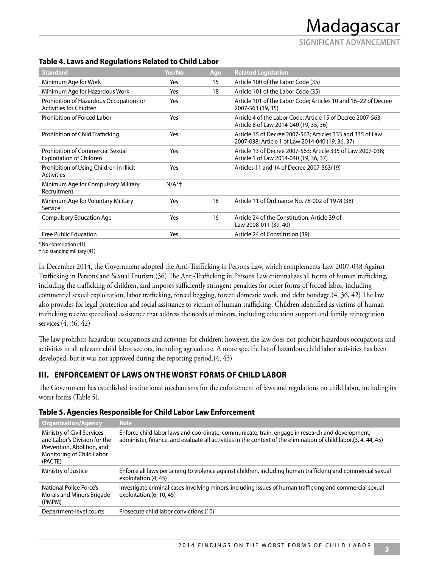**SIGNIFICANT ADVANCEMENT**

#### **Table 4. Laws and Regulations Related to Child Labor**

| <b>Standard</b>                                                     | Yes/No  | Age | <b>Related Legislation</b>                                                                                     |
|---------------------------------------------------------------------|---------|-----|----------------------------------------------------------------------------------------------------------------|
| Minimum Age for Work                                                | Yes     | 15  | Article 100 of the Labor Code (35)                                                                             |
| Minimum Age for Hazardous Work                                      | Yes     | 18  | Article 101 of the Labor Code (35)                                                                             |
| Prohibition of Hazardous Occupations or<br>Activities for Children  | Yes     |     | Article 101 of the Labor Code; Articles 10 and 16-22 of Decree<br>2007-563 (19, 35)                            |
| Prohibition of Forced Labor                                         | Yes     |     | Article 4 of the Labor Code; Article 15 of Decree 2007-563;<br>Article 8 of Law 2014-040 (19, 35, 36)          |
| Prohibition of Child Trafficking                                    | Yes     |     | Article 15 of Decree 2007-563; Articles 333 and 335 of Law<br>2007-038; Article 1 of Law 2014-040 (19, 36, 37) |
| Prohibition of Commercial Sexual<br><b>Exploitation of Children</b> | Yes     |     | Article 13 of Decree 2007-563; Article 335 of Law 2007-038;<br>Article 1 of Law 2014-040 (19, 36, 37)          |
| Prohibition of Using Children in Illicit<br><b>Activities</b>       | Yes     |     | Articles 11 and 14 of Decree 2007-563(19)                                                                      |
| Minimum Age for Compulsory Military<br>Recruitment                  | $N/A^*$ |     |                                                                                                                |
| Minimum Age for Voluntary Military<br>Service                       | Yes     | 18  | Article 11 of Ordinance No. 78-002 of 1978 (38)                                                                |
| <b>Compulsory Education Age</b>                                     | Yes     | 16  | Article 24 of the Constitution; Article 39 of<br>Law 2008-011 (39, 40)                                         |
| Free Public Education                                               | Yes     |     | Article 24 of Constitution (39)                                                                                |

\* No conscription (41)

† No standing military (41)

In December 2014, the Government adopted the Anti-Trafficking in Persons Law, which complements Law 2007-038 Against Trafficking in Persons and Sexual Tourism.(36) The Anti-Trafficking in Persons Law criminalizes all forms of human trafficking, including the trafficking of children, and imposes sufficiently stringent penalties for other forms of forced labor, including commercial sexual exploitation, labor trafficking, forced begging, forced domestic work, and debt bondage.(4, 36, 42) The law also provides for legal protection and social assistance to victims of human trafficking. Children identified as victims of human trafficking receive specialized assistance that address the needs of minors, including education support and family reintegration services.(4, 36, 42)

The law prohibits hazardous occupations and activities for children; however, the law does not prohibit hazardous occupations and activities in all relevant child labor sectors, including agriculture. A more specific list of hazardous child labor activities has been developed, but it was not approved during the reporting period.(4, 43)

### **III. ENFORCEMENT OF LAWS ON THE WORST FORMS OF CHILD LABOR**

The Government has established institutional mechanisms for the enforcement of laws and regulations on child labor, including its worst forms (Table 5).

| <b>Organization/Agency</b>                                                                                                       | <b>Role</b>                                                                                                                                                                                                           |
|----------------------------------------------------------------------------------------------------------------------------------|-----------------------------------------------------------------------------------------------------------------------------------------------------------------------------------------------------------------------|
| Ministry of Civil Services<br>and Labor's Division for the<br>Prevention, Abolition, and<br>Monitoring of Child Labor<br>(PACTE) | Enforce child labor laws and coordinate, communicate, train, engage in research and development;<br>administer, finance, and evaluate all activities in the context of the elimination of child labor. (3, 4, 44, 45) |
| Ministry of Justice                                                                                                              | Enforce all laws pertaining to violence against children, including human trafficking and commercial sexual<br>exploitation. (4, 45)                                                                                  |
| National Police Force's<br>Morals and Minors Brigade<br>(PMPM)                                                                   | Investigate criminal cases involving minors, including issues of human trafficking and commercial sexual<br>exploitation.(6, 10, 45)                                                                                  |
| Department-level courts                                                                                                          | Prosecute child labor convictions.(10)                                                                                                                                                                                |

#### **Table 5. Agencies Responsible for Child Labor Law Enforcement**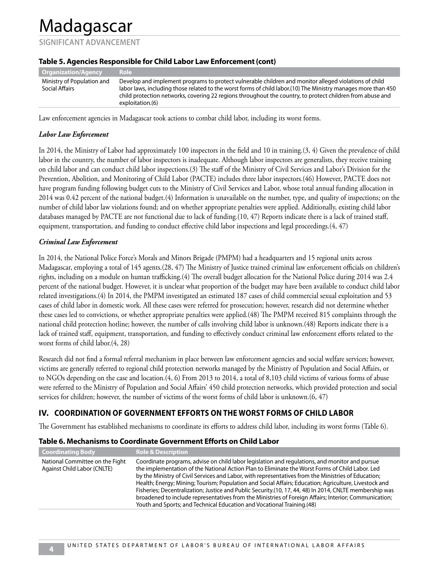**SIGNIFICANT ADVANCEMENT**

| <b>Organization/Agency</b>                   | ' Role :                                                                                                                                                                                                                                                                                                                                                |
|----------------------------------------------|---------------------------------------------------------------------------------------------------------------------------------------------------------------------------------------------------------------------------------------------------------------------------------------------------------------------------------------------------------|
| Ministry of Population and<br>Social Affairs | Develop and implement programs to protect vulnerable children and monitor alleged violations of child<br>labor laws, including those related to the worst forms of child labor.(10) The Ministry manages more than 450<br>child protection networks, covering 22 regions throughout the country, to protect children from abuse and<br>exploitation.(6) |
|                                              |                                                                                                                                                                                                                                                                                                                                                         |

#### **Table 5. Agencies Responsible for Child Labor Law Enforcement (cont)**

Law enforcement agencies in Madagascar took actions to combat child labor, including its worst forms.

#### *Labor Law Enforcement*

In 2014, the Ministry of Labor had approximately 100 inspectors in the field and 10 in training.(3, 4) Given the prevalence of child labor in the country, the number of labor inspectors is inadequate. Although labor inspectors are generalists, they receive training on child labor and can conduct child labor inspections.(3) The staff of the Ministry of Civil Services and Labor's Division for the Prevention, Abolition, and Monitoring of Child Labor (PACTE) includes three labor inspectors.(46) However, PACTE does not have program funding following budget cuts to the Ministry of Civil Services and Labor, whose total annual funding allocation in 2014 was 0.42 percent of the national budget.(4) Information is unavailable on the number, type, and quality of inspections; on the number of child labor law violations found; and on whether appropriate penalties were applied. Additionally, existing child labor databases managed by PACTE are not functional due to lack of funding.(10, 47) Reports indicate there is a lack of trained staff, equipment, transportation, and funding to conduct effective child labor inspections and legal proceedings.(4, 47)

#### *Criminal Law Enforcement*

In 2014, the National Police Force's Morals and Minors Brigade (PMPM) had a headquarters and 15 regional units across Madagascar, employing a total of 145 agents.(28, 47) The Ministry of Justice trained criminal law enforcement officials on children's rights, including on a module on human trafficking.(4) The overall budget allocation for the National Police during 2014 was 2.4 percent of the national budget. However, it is unclear what proportion of the budget may have been available to conduct child labor related investigations.(4) In 2014, the PMPM investigated an estimated 187 cases of child commercial sexual exploitation and 53 cases of child labor in domestic work. All these cases were referred for prosecution; however, research did not determine whether these cases led to convictions, or whether appropriate penalties were applied.(48) The PMPM received 815 complaints through the national child protection hotline; however, the number of calls involving child labor is unknown.(48) Reports indicate there is a lack of trained staff, equipment, transportation, and funding to effectively conduct criminal law enforcement efforts related to the worst forms of child labor.(4, 28)

Research did not find a formal referral mechanism in place between law enforcement agencies and social welfare services; however, victims are generally referred to regional child protection networks managed by the Ministry of Population and Social Affairs, or to NGOs depending on the case and location.(4, 6) From 2013 to 2014, a total of 8,103 child victims of various forms of abuse were referred to the Ministry of Population and Social Affairs' 450 child protection networks, which provided protection and social services for children; however, the number of victims of the worst forms of child labor is unknown.(6, 47)

# **IV. COORDINATION OF GOVERNMENT EFFORTS ON THE WORST FORMS OF CHILD LABOR**

The Government has established mechanisms to coordinate its efforts to address child labor, including its worst forms (Table 6).

| <b>Coordinating Body</b>                                       | <b>Role &amp; Description</b>                                                                                                                                                                                                                                                                                                                                                                                                                                                                                                                                                                                                                                                                                    |
|----------------------------------------------------------------|------------------------------------------------------------------------------------------------------------------------------------------------------------------------------------------------------------------------------------------------------------------------------------------------------------------------------------------------------------------------------------------------------------------------------------------------------------------------------------------------------------------------------------------------------------------------------------------------------------------------------------------------------------------------------------------------------------------|
| National Committee on the Fight<br>Against Child Labor (CNLTE) | Coordinate programs, advise on child labor legislation and regulations, and monitor and pursue<br>the implementation of the National Action Plan to Eliminate the Worst Forms of Child Labor. Led<br>by the Ministry of Civil Services and Labor, with representatives from the Ministries of Education;<br>Health; Energy; Mining; Tourism; Population and Social Affairs; Education; Agriculture, Livestock and<br>Fisheries; Decentralization; Justice and Public Security. (10, 17, 44, 48) In 2014, CNLTE membership was<br>broadened to include representatives from the Ministries of Foreign Affairs; Interior; Communication;<br>Youth and Sports; and Technical Education and Vocational Training.(48) |

#### **Table 6. Mechanisms to Coordinate Government Efforts on Child Labor**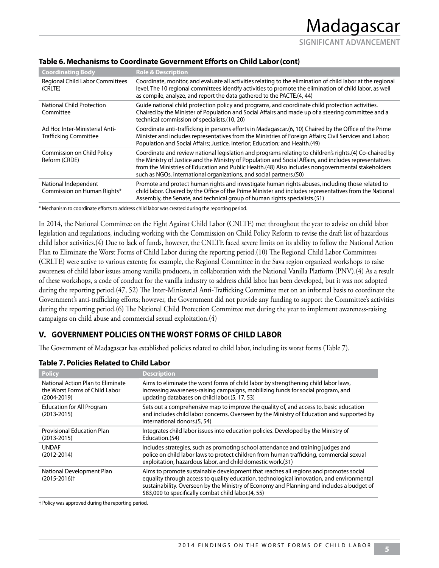**SIGNIFICANT ADVANCEMENT**

| <b>Coordinating Body</b>                                       | <b>Role &amp; Description</b>                                                                                                                                                                                                                                                                                                                                                                   |
|----------------------------------------------------------------|-------------------------------------------------------------------------------------------------------------------------------------------------------------------------------------------------------------------------------------------------------------------------------------------------------------------------------------------------------------------------------------------------|
| <b>Regional Child Labor Committees</b><br>(CRLTE)              | Coordinate, monitor, and evaluate all activities relating to the elimination of child labor at the regional<br>level. The 10 regional committees identify activities to promote the elimination of child labor, as well<br>as compile, analyze, and report the data gathered to the PACTE.(4, 44)                                                                                               |
| National Child Protection<br>Committee                         | Guide national child protection policy and programs, and coordinate child protection activities.<br>Chaired by the Minister of Population and Social Affairs and made up of a steering committee and a<br>technical commission of specialists.(10, 20)                                                                                                                                          |
| Ad Hoc Inter-Ministerial Anti-<br><b>Trafficking Committee</b> | Coordinate anti-trafficking in persons efforts in Madagascar. (6, 10) Chaired by the Office of the Prime<br>Minister and includes representatives from the Ministries of Foreign Affairs; Civil Services and Labor;<br>Population and Social Affairs; Justice, Interior; Education; and Health.(49)                                                                                             |
| <b>Commission on Child Policy</b><br>Reform (CRDE)             | Coordinate and review national legislation and programs relating to children's rights.(4) Co-chaired by<br>the Ministry of Justice and the Ministry of Population and Social Affairs, and includes representatives<br>from the Ministries of Education and Public Health.(48) Also includes nongovernmental stakeholders<br>such as NGOs, international organizations, and social partners.(50) |
| National Independent<br>Commission on Human Rights*            | Promote and protect human rights and investigate human rights abuses, including those related to<br>child labor. Chaired by the Office of the Prime Minister and includes representatives from the National<br>Assembly, the Senate, and technical group of human rights specialists. (51)                                                                                                      |

#### **Table 6. Mechanisms to Coordinate Government Efforts on Child Labor (cont)**

\* Mechanism to coordinate efforts to address child labor was created during the reporting period.

In 2014, the National Committee on the Fight Against Child Labor (CNLTE) met throughout the year to advise on child labor legislation and regulations, including working with the Commission on Child Policy Reform to revise the draft list of hazardous child labor activities.(4) Due to lack of funds, however, the CNLTE faced severe limits on its ability to follow the National Action Plan to Eliminate the Worst Forms of Child Labor during the reporting period.(10) The Regional Child Labor Committees (CRLTE) were active to various extents; for example, the Regional Committee in the Sava region organized workshops to raise awareness of child labor issues among vanilla producers, in collaboration with the National Vanilla Platform (PNV).(4) As a result of these workshops, a code of conduct for the vanilla industry to address child labor has been developed, but it was not adopted during the reporting period.(47, 52) The Inter-Ministerial Anti-Trafficking Committee met on an informal basis to coordinate the Government's anti-trafficking efforts; however, the Government did not provide any funding to support the Committee's activities during the reporting period.(6) The National Child Protection Committee met during the year to implement awareness-raising campaigns on child abuse and commercial sexual exploitation.(4)

### **V. GOVERNMENT POLICIES ON THE WORST FORMS OF CHILD LABOR**

The Government of Madagascar has established policies related to child labor, including its worst forms (Table 7).

| Table 7. Policies Related to Child Labor |  |
|------------------------------------------|--|
|------------------------------------------|--|

| <b>Policy</b>                                                                          | <b>Description</b>                                                                                                                                                                                                                                                                                                                    |
|----------------------------------------------------------------------------------------|---------------------------------------------------------------------------------------------------------------------------------------------------------------------------------------------------------------------------------------------------------------------------------------------------------------------------------------|
| National Action Plan to Eliminate<br>the Worst Forms of Child Labor<br>$(2004 - 2019)$ | Aims to eliminate the worst forms of child labor by strengthening child labor laws,<br>increasing awareness-raising campaigns, mobilizing funds for social program, and<br>updating databases on child labor.(5, 17, 53)                                                                                                              |
| <b>Education for All Program</b><br>$(2013 - 2015)$                                    | Sets out a comprehensive map to improve the quality of, and access to, basic education<br>and includes child labor concerns. Overseen by the Ministry of Education and supported by<br>international donors.(5, 54)                                                                                                                   |
| <b>Provisional Education Plan</b><br>$(2013 - 2015)$                                   | Integrates child labor issues into education policies. Developed by the Ministry of<br>Education. (54)                                                                                                                                                                                                                                |
| <b>UNDAF</b><br>$(2012 - 2014)$                                                        | Includes strategies, such as promoting school attendance and training judges and<br>police on child labor laws to protect children from human trafficking, commercial sexual<br>exploitation, hazardous labor, and child domestic work.(31)                                                                                           |
| National Development Plan<br>$(2015 - 2016)$ <sup>+</sup>                              | Aims to promote sustainable development that reaches all regions and promotes social<br>equality through access to quality education, technological innovation, and environmental<br>sustainability. Overseen by the Ministry of Economy and Planning and includes a budget of<br>\$83,000 to specifically combat child labor.(4, 55) |

† Policy was approved during the reporting period.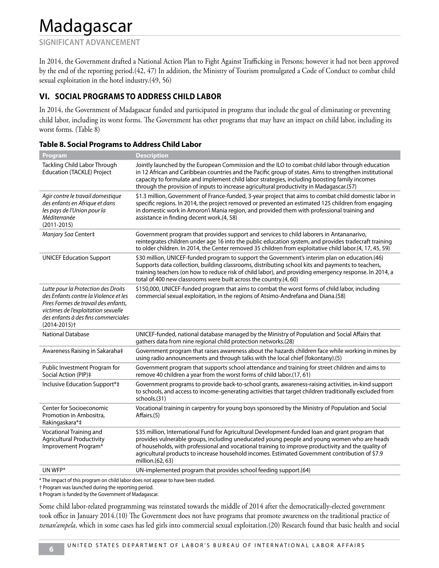**SIGNIFICANT ADVANCEMENT**

In 2014, the Government drafted a National Action Plan to Fight Against Trafficking in Persons; however it had not been approved by the end of the reporting period.(42, 47) In addition, the Ministry of Tourism promulgated a Code of Conduct to combat child sexual exploitation in the hotel industry.(49, 56)

### **VI. SOCIAL PROGRAMS TO ADDRESS CHILD LABOR**

In 2014, the Government of Madagascar funded and participated in programs that include the goal of eliminating or preventing child labor, including its worst forms. The Government has other programs that may have an impact on child labor, including its worst forms. (Table 8)

| Program                                                                                                                                                                                                                            | <b>Description</b>                                                                                                                                                                                                                                                                                                                                                                                                            |
|------------------------------------------------------------------------------------------------------------------------------------------------------------------------------------------------------------------------------------|-------------------------------------------------------------------------------------------------------------------------------------------------------------------------------------------------------------------------------------------------------------------------------------------------------------------------------------------------------------------------------------------------------------------------------|
| Tackling Child Labor Through<br><b>Education (TACKLE) Project</b>                                                                                                                                                                  | Jointly launched by the European Commission and the ILO to combat child labor through education<br>in 12 African and Caribbean countries and the Pacific group of states. Aims to strengthen institutional<br>capacity to formulate and implement child labor strategies, including boosting family incomes<br>through the provision of inputs to increase agricultural productivity in Madagascar.(57)                       |
| Agir contre le travail domestique<br>des enfants en Afrique et dans<br>les pays de l'Union pour la<br>Méditerranée<br>$(2011 - 2015)$                                                                                              | \$1.3 million, Government of France-funded, 3-year project that aims to combat child domestic labor in<br>specific regions. In 2014, the project removed or prevented an estimated 125 children from engaging<br>in domestic work in Amoron'i Mania region, and provided them with professional training and<br>assistance in finding decent work.(4, 58)                                                                     |
| Manjary Soa Center‡                                                                                                                                                                                                                | Government program that provides support and services to child laborers in Antananarivo,<br>reintegrates children under age 16 into the public education system, and provides tradecraft training<br>to older children. In 2014, the Center removed 35 children from exploitative child labor.(4, 17, 45, 59)                                                                                                                 |
| <b>UNICEF Education Support</b>                                                                                                                                                                                                    | \$30 million, UNICEF-funded program to support the Government's interim plan on education.(46)<br>Supports data collection, building classrooms, distributing school kits and payments to teachers,<br>training teachers (on how to reduce risk of child labor), and providing emergency response. In 2014, a<br>total of 400 new classrooms were built across the country.(4, 60)                                            |
| Lutte pour la Protection des Droits<br>des Enfants contre la Violence et les<br>Pires Formes de travail des enfants,<br>victimes de l'exploitation sexuelle<br>des enfants à des fins commerciales<br>$(2014 - 2015)$ <sup>+</sup> | \$150,000, UNICEF-funded program that aims to combat the worst forms of child labor, including<br>commercial sexual exploitation, in the regions of Atsimo-Andrefana and Diana.(58)                                                                                                                                                                                                                                           |
| <b>National Database</b>                                                                                                                                                                                                           | UNICEF-funded, national database managed by the Ministry of Population and Social Affairs that<br>gathers data from nine regional child protection networks.(28)                                                                                                                                                                                                                                                              |
| Awareness Raising in Sakaraha‡                                                                                                                                                                                                     | Government program that raises awareness about the hazards children face while working in mines by<br>using radio announcements and through talks with the local chief (fokontany).(5)                                                                                                                                                                                                                                        |
| Public Investment Program for<br>Social Action (PIP)‡                                                                                                                                                                              | Government program that supports school attendance and training for street children and aims to<br>remove 40 children a year from the worst forms of child labor.(17, 61)                                                                                                                                                                                                                                                     |
| Inclusive Education Support*‡                                                                                                                                                                                                      | Government programs to provide back-to-school grants, awareness-raising activities, in-kind support<br>to schools, and access to income-generating activities that target children traditionally excluded from<br>schools.(31)                                                                                                                                                                                                |
| Center for Socioeconomic<br>Promotion in Ambositra,<br>Rakingaskara*‡                                                                                                                                                              | Vocational training in carpentry for young boys sponsored by the Ministry of Population and Social<br>Affairs.(5)                                                                                                                                                                                                                                                                                                             |
| Vocational Training and<br><b>Agricultural Productivity</b><br>Improvement Program*                                                                                                                                                | \$35 million, International Fund for Agricultural Development-funded Ioan and grant program that<br>provides vulnerable groups, including uneducated young people and young women who are heads<br>of households, with professional and vocational training to improve productivity and the quality of<br>agricultural products to increase household incomes. Estimated Government contribution of \$7.9<br>million.(62, 63) |
| UN WFP*                                                                                                                                                                                                                            | UN-implemented program that provides school feeding support.(64)                                                                                                                                                                                                                                                                                                                                                              |
|                                                                                                                                                                                                                                    |                                                                                                                                                                                                                                                                                                                                                                                                                               |

|  |  | <b>Table 8. Social Programs to Address Child Labor</b> |
|--|--|--------------------------------------------------------|
|  |  |                                                        |

\* The impact of this program on child labor does not appear to have been studied.

† Program was launched during the reporting period.

‡ Program is funded by the Government of Madagascar.

Some child labor-related programming was reinstated towards the middle of 2014 after the democratically-elected government took office in January 2014.(10) The Government does not have programs that promote awareness on the traditional practice of *tsenan'ampela*, which in some cases has led girls into commercial sexual exploitation.(20) Research found that basic health and social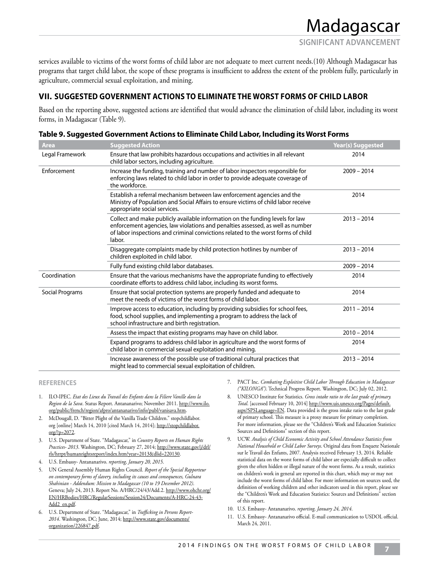services available to victims of the worst forms of child labor are not adequate to meet current needs.(10) Although Madagascar has programs that target child labor, the scope of these programs is insufficient to address the extent of the problem fully, particularly in agriculture, commercial sexual exploitation, and mining.

### **VII. SUGGESTED GOVERNMENT ACTIONS TO ELIMINATE THE WORST FORMS OF CHILD LABOR**

Based on the reporting above, suggested actions are identified that would advance the elimination of child labor, including its worst forms, in Madagascar (Table 9).

| Area            | <b>Suggested Action</b>                                                                                                                                                                                                                                        | <b>Year(s) Suggested</b> |
|-----------------|----------------------------------------------------------------------------------------------------------------------------------------------------------------------------------------------------------------------------------------------------------------|--------------------------|
| Legal Framework | Ensure that law prohibits hazardous occupations and activities in all relevant<br>child labor sectors, including agriculture.                                                                                                                                  | 2014                     |
| Enforcement     | Increase the funding, training and number of labor inspectors responsible for<br>enforcing laws related to child labor in order to provide adequate coverage of<br>the workforce.                                                                              | $2009 - 2014$            |
|                 | Establish a referral mechanism between law enforcement agencies and the<br>Ministry of Population and Social Affairs to ensure victims of child labor receive<br>appropriate social services.                                                                  | 2014                     |
|                 | Collect and make publicly available information on the funding levels for law<br>enforcement agencies, law violations and penalties assessed, as well as number<br>of labor inspections and criminal convictions related to the worst forms of child<br>labor. | $2013 - 2014$            |
|                 | Disaggregate complaints made by child protection hotlines by number of<br>children exploited in child labor.                                                                                                                                                   | $2013 - 2014$            |
|                 | Fully fund existing child labor databases.                                                                                                                                                                                                                     | $2009 - 2014$            |
| Coordination    | Ensure that the various mechanisms have the appropriate funding to effectively<br>coordinate efforts to address child labor, including its worst forms.                                                                                                        | 2014                     |
| Social Programs | Ensure that social protection systems are properly funded and adequate to<br>meet the needs of victims of the worst forms of child labor.                                                                                                                      | 2014                     |
|                 | Improve access to education, including by providing subsidies for school fees,<br>food, school supplies, and implementing a program to address the lack of<br>school infrastructure and birth registration.                                                    | $2011 - 2014$            |
|                 | Assess the impact that existing programs may have on child labor.                                                                                                                                                                                              | $2010 - 2014$            |
|                 | Expand programs to address child labor in agriculture and the worst forms of<br>child labor in commercial sexual exploitation and mining.                                                                                                                      | 2014                     |
|                 | Increase awareness of the possible use of traditional cultural practices that<br>might lead to commercial sexual exploitation of children.                                                                                                                     | $2013 - 2014$            |

| Table 9. Suggested Government Actions to Eliminate Child Labor, Including its Worst Forms |  |  |  |
|-------------------------------------------------------------------------------------------|--|--|--|
|                                                                                           |  |  |  |

#### **REFERENCES**

- 1. ILO-IPEC. *Etat des Lieux du Travail des Enfants dans la Filiere Vanille dans la Region de la Sava*. Status Report. Antananarivo; November 2011. http://www.ilo. org/public/french/region/afpro/antananarivo/info/publ/vanisava.htm.
- 2. McDougall, D. "Bitter Plight of the Vanilla Trade Children." stopchildlabor. org [online] March 14, 2010 [cited March 14, 2014]; http://stopchildlabor. org/?p=2072.
- 3. U.S. Department of State. "Madagascar," in *Country Reports on Human Rights Practices- 2013*. Washington, DC; February 27, 2014; http://www.state.gov/j/drl/ rls/hrrpt/humanrightsreport/index.htm?year=2013&dlid=220130.
- 4. U.S. Embassy- Antananarivo. *reporting, January 20, 2015*.
- 5. UN General Assembly Human Rights Council. *Report of the Special Rapporteur on contemporary forms of slavery, including its causes and consequences, Gulnara Shahinian - Addendum: Mission to Madagascar (10 to 19 December 2012)*. Geneva; July 24, 2013. Report No. A/HRC/24/43/Add.2. http://www.ohchr.org/ EN/HRBodies/HRC/RegularSessions/Session24/Documents/A-HRC-24-43- Add2\_en.pdf.
- 6. U.S. Department of State. "Madagascar," in *Trafficking in Persons Report-2014*. Washington, DC; June, 2014; http://www.state.gov/documents/ organization/226847.pdf.
- 7. PACT Inc. *Combating Exploitive Child Labor Through Education in Madagascar ("KILONGA")*. Technical Progress Report. Washington, DC; July 02, 2012.
- 8. UNESCO Institute for Statistics. *Gross intake ratio to the last grade of primary. Total*. [accessed February 10, 2014] http://www.uis.unesco.org/Pages/default. aspx?SPSLanguage=EN. Data provided is the gross intake ratio to the last grade of primary school. This measure is a proxy measure for primary completion. For more information, please see the "Children's Work and Education Statistics: Sources and Definitions" section of this report.
- 9. UCW. *Analysis of Child Economic Activity and School Attendance Statistics from National Household or Child Labor Surveys*. Original data from Enquete Nationale sur le Travail des Enfants, 2007. Analysis received February 13, 2014. Reliable statistical data on the worst forms of child labor are especially difficult to collect given the often hidden or illegal nature of the worst forms. As a result, statistics on children's work in general are reported in this chart, which may or may not include the worst forms of child labor. For more information on sources used, the definition of working children and other indicators used in this report, please see the "Children's Work and Education Statistics: Sources and Definitions" section of this report.
- 10. U.S. Embassy- Antananarivo. *reporting, January 24, 2014*.
- 11. U.S. Embassy- Antananarivo official. E-mail communication to USDOL official. March 24, 2011.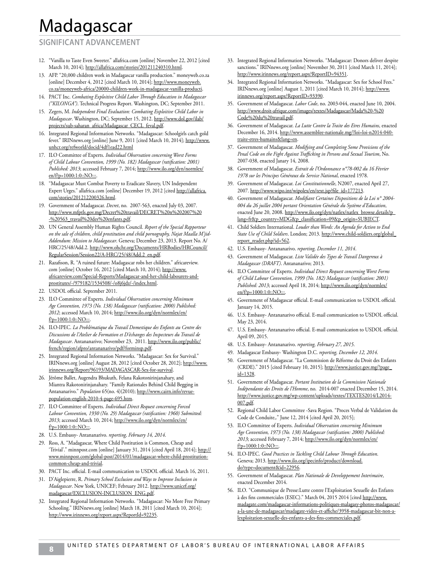#### **SIGNIFICANT ADVANCEMENT**

- 12. "Vanilla to Taste Even Sweeter." allafrica.com [online] November 22, 2012 [cited March 10, 2014]; http://allafrica.com/stories/201211240310.html.
- 13. AFP. "20,000 children work in Madagascar vanilla production." moneyweb.co.za [online] December 4, 2012 [cited March 10, 2014]; http://www.moneyweb. co.za/moneyweb-africa/20000-children-work-in-madagascar-vanilla-producti.
- 14. PACT Inc. *Combating Exploitive Child Labor Through Education in Madagascar ("KILONGA")*. Technical Progress Report. Washington, DC; September 2011.
- 15. Zegers, M. *Independent Final Evaluation: Combating Exploitive Child Labor in Madagascar*. Washington, DC; September 15, 2012. http://www.dol.gov/ilab/ projects/sub-saharan\_africa/Madagascar\_CECL\_feval.pdf.
- 16. Integrated Regional Information Networks. "Madagascar: Schoolgirls catch gold fever." IRINnews.org [online] June 9, 2011 [cited March 10, 2014]; http://www. unhcr.org/refworld/docid/4df1ead22.html
- 17. ILO Committee of Experts. *Individual Observation concerning Worst Forms of Child Labour Convention, 1999 (No. 182) Madagascar (ratification: 2001) Published: 2013*; accessed February 7, 2014; http://www.ilo.org/dyn/normlex/ en/f?p=1000:1:0::NO:::
- 18. "Madagascar Must Combat Poverty to Eradicate Slavery, UN Independent Expert Urges." allafrica.com [online] December 19, 2012 [cited http://allafrica. com/stories/201212200326.html.
- 19. Government of Madagascar. *Decret*, no. 2007-563, enacted July 03, 2007. http://www.mfptls.gov.mg/Decret%20travail/DECRET%20n%202007%20 -%20563\_travail%20des%20enfants.pdf.
- 20. UN General Assembly Human Rights Council. *Report of the Special Rapporteur on the sale of children, child prostitution and child pornography, Najat Maalla M'jid-Addendum: Mission to Madagascar*. Geneva; December 23, 2013. Report No. A/ HRC/25/48/Add.2. http://www.ohchr.org/Documents/HRBodies/HRCouncil/ RegularSession/Session22/A-HRC/25/48/Add.2\_en.pdf.
- 21. Razafison, R. "A ruined future: Madagascar robs her children." africareview. com [online] October 16, 2012 [cited March 10, 2014]; http://www. africareview.com/Special-Reports/Madagascar-and-her-child-labourers-andprostitutes/-/979182/1534508/-/o8j6jdz/-/index.html.
- 22. USDOL official. September 2011.
- 23. ILO Committee of Experts. *Individual Observation concerning Minimum Age Convention, 1973 (No. 138) Madagascar (ratification: 2000) Published: 2012*; accessed March 10, 2014; http://www.ilo.org/dyn/normlex/en/ f?p=1000:1:0::NO:::.
- 24. ILO-IPEC. *La Problématique du Travail Domestique des Enfants au Centre des Discussions de l'Atelier de Formation et D'échanges des Inspecteurs du Travail de Madagascar*. Antananarivo; November 23, 2011. http://www.ilo.org/public/ french/region/afpro/antananarivo/pdf/forminsp.pdf.
- 25. Integrated Regional Information Networks. "Madagascar: Sex for Survival." IRINnews.org [online] August 28, 2012 [cited October 28, 2012]; http://www. irinnews.org/Report/96193/MADAGASCAR-Sex-for-survival.
- 26. Jérôme Ballet, Augendra Bhukuth, Felana Rakotonirinjanahary, and Miantra Rakotonirinjanahary. "Family Rationales Behind Child Begging in Antananarivo." *Population* 65(no. 4)(2010); http://www.cairn.info/revuepopulation-english-2010-4-page-695.htm.
- 27. ILO Committee of Experts. *Individual Direct Request concerning Forced Labour Convention, 1930 (No. 29) Madagascar (ratification: 1960) Submitted: 2013*; accessed March 10, 2014; http://www.ilo.org/dyn/normlex/en/ f?p=1000:1:0::NO:::.
- 28. U.S. Embassy- Antananarivo. *reporting, February 14, 2014*.
- 29. Ross, A. "Madagascar, Where Child Postitution is Common, Cheap and 'Trivial'." minnpost.com [online] January 31, 2014 [cited April 18, 2014]; http:// www.minnpost.com/global-post/2014/01/madagascar-where-child-prostitutioncommon-cheap-and-trivial.
- 30. PACT Inc. official. E-mail communication to USDOL official. March 16, 2011.
- 31. D'Aiglepierre, R. *Primary School Exclusion and Ways to Improve Inclusion in Madagascar*. New York, UNICEF; February 2012. http://www.unicef.org/ madagascar/EXCLUSION-INCLUSION\_ENG.pdf.
- 32. Integrated Regional Information Networks. "Madagascar: No More Free Primary Schooling." IRINnews.org [online] March 18, 2011 [cited March 10, 2014]; http://www.irinnews.org/report.aspx?ReportId=92235.
- 33. Integrated Regional Information Networks. "Madagascar: Donors deliver despite sanctions." IRINnews.org [online] November 30, 2011 [cited March 11, 2014]; http://www.irinnews.org/report.aspx?ReportID=94351.
- 34. Integrated Regional Information Networks. "Madagascar: Sex for School Fees." IRINnews.org [online] August 1, 2011 [cited March 10, 2014]; http://www. irinnews.org/report.aspx?ReportID=93390.
- 35. Government of Madagascar. *Labor Code*, no. 2003-044, enacted June 10, 2004. http://www.droit-afrique.com/images/textes/Madagascar/Mada%20-%20 Code%20du%20travail.pdf.
- 36. Government of Madagascar. *La Lutte Contre la Traite des Etres Humains*, enacted December 16, 2014. http://www.assemblee-nationale.mg/?loi=loi-n2014-040 traite-etres-humains&lang=en.
- 37. Government of Madagascar. *Modifying and Completing Some Provisions of the Penal Code on the Fight Against Trafficking in Persons and Sexual Tourism*, No. 2007-038, enacted Janary 14, 2008.
- 38. Government of Madagascar. *Extrait de l'Ordonnance n°78-002 du 16 Février 1978 sur les Principes Généraux du Service National*, enacted 1978.
- 39. Government of Madagascar. *Loi Constitutionnelle*, N2007, enacted April 27, 2007. http://www.wipo.int/wipolex/en/text.jsp?file\_id=177213.
- 40. Government of Madagascar. *Modifiant Certaines Dispositions de la Loi n° 2004- 004 du 26 juillet 2004 portant Orientation Générale du Système d'Education*, enacted June 20, 2008. http://www.ilo.org/dyn/natlex/natlex\_browse.details?p\_ lang=fr&p\_country=MDG&p\_classification=09&p\_origin=SUBJECT.
- 41. Child Soldiers International. *Louder than Words: An Agenda for Action to End State Use of Child Soldiers*. London; 2013. http://www.child-soldiers.org/global\_ report\_reader.php?id=562.
- 42. U.S. Embassy- Antananarivo. *reporting, December 11, 2014*.
- 43. Government of Madagascar. *Liste Validée des Types de Travail Dangereux à Madagascar (DRAFT)*. Antananarivo; 2013.
- 44. ILO Committee of Experts. *Individual Direct Request concerning Worst Forms of Child Labour Convention, 1999 (No. 182) Madagascar (ratification: 2001) Published: 2013*; accessed April 18, 2014; http://www.ilo.org/dyn/normlex/ en/f?p=1000:1:0::NO:::
- 45. Government of Madagascar official. E-mail communication to USDOL official. January 14, 2015.
- 46. U.S. Embassy- Antananarivo official. E-mail communication to USDOL official. May 23, 2014.
- 47. U.S. Embassy- Antananarivo official. E-mail communication to USDOL official. April 09, 2015.
- 48. U.S. Embassy- Antananarivo. *reporting, February 27, 2015*.
- 49. Madagascar Embassy- Washington D.C. *reporting, December 12, 2014*.
- 50. Government of Madagascar. "La Commission de Réforme du Droit des Enfants (CRDE)." 2015 [cited February 10, 2015]; http://www.justice.gov.mg/?page\_ d=1328
- 51. Government of Madagascar. *Portant Institution de la Commission Nationale Indépendante des Droits de l'Homme*, no. 2014-007 enacted December 15, 2014. http://www.justice.gov.mg/wp-content/uploads/textes/TEXTES2014/L2014- 007.pdf.
- 52. Regional Child Labor Committee -Sava Region. "Proces Verbal de Validation du Code de Conduite,." June 12, 2014 [cited April 20, 2015];
- 53. ILO Committee of Experts. *Individual Observation concerning Minimum Age Convention, 1973 (No. 138) Madagascar (ratification: 2000) Published:*  2013; accessed February 7, 2014; http://www.ilo.org/dyn/normlex/en/ f?p=1000:1:0::NO:::.
- 54. ILO-IPEC. *Good Practices in Tackling Child Labour Through Education*. Geneva; 2013. http://www.ilo.org/ipecinfo/product/download. do?type=document&id=22956.
- 55. Government of Madagascar. *Plan Nationale de Developpement Interimaire*, enacted December 2014.
- 56. ILO. "Communique de Presse:Lutte contre l'Exploitation Sexuelle des Enfants à des fins commerciales (ESEC)." March 04, 2015 2014 [cited http://www. madagate.com/madagascar-informations-politiques-malagasy-photos-madagascar/ a-la-une-de-madagascar/madagate-video-et-affiche/3958-madagascar-bit-non-alexploitation-sexuelle-des-enfants-a-des-fins-commerciales.pdf.